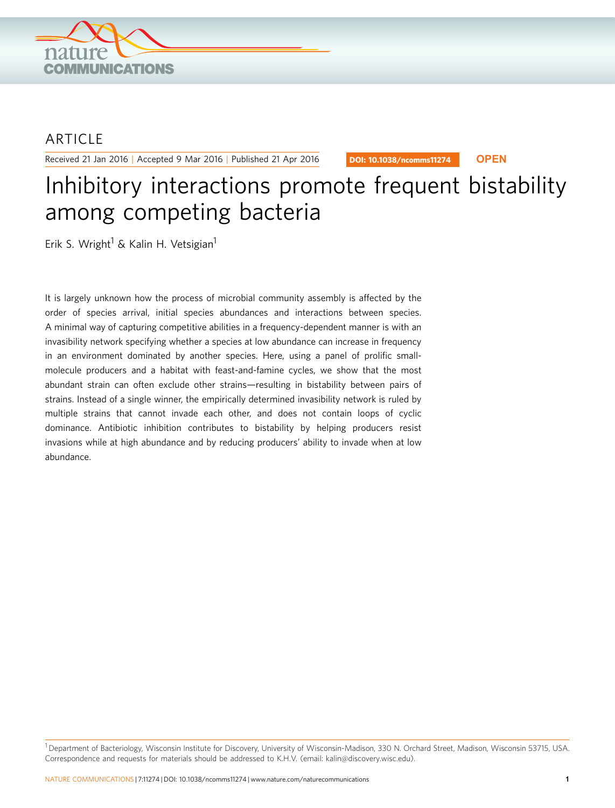

## **ARTICLE**

Received 21 Jan 2016 | Accepted 9 Mar 2016 | Published 21 Apr 2016

DOI: 10.1038/ncomms11274 **OPEN**

# Inhibitory interactions promote frequent bistability among competing bacteria

Erik S. Wright<sup>1</sup> & Kalin H. Vetsigian<sup>1</sup>

It is largely unknown how the process of microbial community assembly is affected by the order of species arrival, initial species abundances and interactions between species. A minimal way of capturing competitive abilities in a frequency-dependent manner is with an invasibility network specifying whether a species at low abundance can increase in frequency in an environment dominated by another species. Here, using a panel of prolific smallmolecule producers and a habitat with feast-and-famine cycles, we show that the most abundant strain can often exclude other strains—resulting in bistability between pairs of strains. Instead of a single winner, the empirically determined invasibility network is ruled by multiple strains that cannot invade each other, and does not contain loops of cyclic dominance. Antibiotic inhibition contributes to bistability by helping producers resist invasions while at high abundance and by reducing producers' ability to invade when at low abundance.

<sup>1</sup> Department of Bacteriology, Wisconsin Institute for Discovery, University of Wisconsin-Madison, 330 N. Orchard Street, Madison, Wisconsin 53715, USA. Correspondence and requests for materials should be addressed to K.H.V. (email: [kalin@discovery.wisc.edu](mailto:kalin@discovery.wisc.edu)).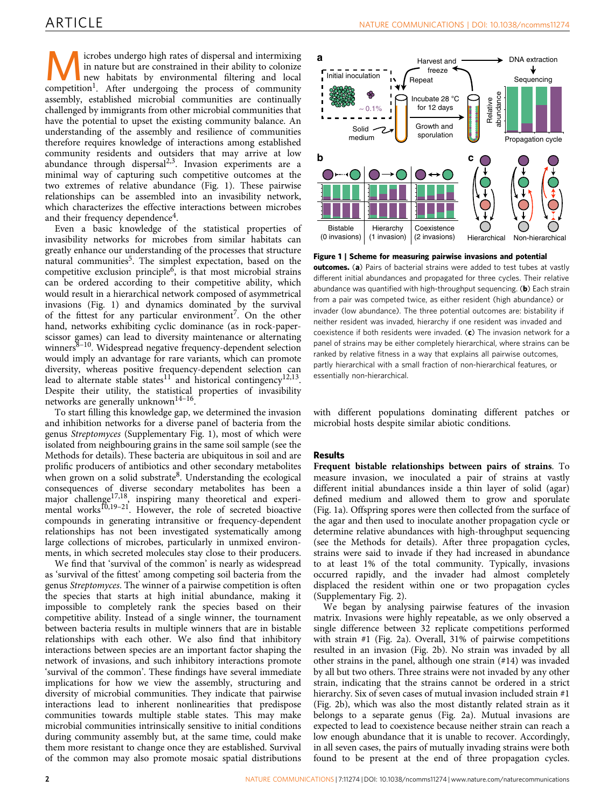In nature but are constrained in their ability to colonize<br>new habitats by environmental filtering and local<br>competition<sup>1</sup> After undergoing the process of community in nature but are constrained in their ability to colonize competition<sup>1</sup>. After undergoing the process of community assembly, established microbial communities are continually challenged by immigrants from other microbial communities that have the potential to upset the existing community balance. An understanding of the assembly and resilience of communities therefore requires knowledge of interactions among established community residents and outsiders that may arrive at low abundance through dispersal<sup>2,3</sup>. Invasion experiments are a minimal way of capturing such competitive outcomes at the two extremes of relative abundance (Fig. 1). These pairwise relationships can be assembled into an invasibility network, which characterizes the effective interactions between microbes and their frequency dependence<sup>4</sup>.

Even a basic knowledge of the statistical properties of invasibility networks for microbes from similar habitats can greatly enhance our understanding of the processes that structure natural communities<sup>[5](#page-6-0)</sup>. The simplest expectation, based on the competitive exclusion principle $6$ , is that most microbial strains can be ordered according to their competitive ability, which would result in a hierarchical network composed of asymmetrical invasions (Fig. 1) and dynamics dominated by the survival of the fittest for any particular environment<sup>7</sup>. On the other hand, networks exhibiting cyclic dominance (as in rock-paperscissor games) can lead to diversity maintenance or alternating winners<sup>8-10</sup>. Widespread negative frequency-dependent selection would imply an advantage for rare variants, which can promote diversity, whereas positive frequency-dependent selection can lead to alternate stable states<sup>[11](#page-6-0)</sup> and historical contingency<sup>12,13</sup>. Despite their utility, the statistical properties of invasibility networks are generally unknown<sup>14-16</sup>.

To start filling this knowledge gap, we determined the invasion and inhibition networks for a diverse panel of bacteria from the genus Streptomyces (Supplementary Fig. 1), most of which were isolated from neighbouring grains in the same soil sample (see the Methods for details). These bacteria are ubiquitous in soil and are prolific producers of antibiotics and other secondary metabolites when grown on a solid substrate<sup>[8](#page-6-0)</sup>. Understanding the ecological consequences of diverse secondary metabolites has been a major challenge<sup>[17,18](#page-6-0)</sup>, inspiring many theoretical and experimental works<sup>10,19-21</sup>. However, the role of secreted bioactive compounds in generating intransitive or frequency-dependent relationships has not been investigated systematically among large collections of microbes, particularly in unmixed environments, in which secreted molecules stay close to their producers.

We find that 'survival of the common' is nearly as widespread as 'survival of the fittest' among competing soil bacteria from the genus Streptomyces. The winner of a pairwise competition is often the species that starts at high initial abundance, making it impossible to completely rank the species based on their competitive ability. Instead of a single winner, the tournament between bacteria results in multiple winners that are in bistable relationships with each other. We also find that inhibitory interactions between species are an important factor shaping the network of invasions, and such inhibitory interactions promote 'survival of the common'. These findings have several immediate implications for how we view the assembly, structuring and diversity of microbial communities. They indicate that pairwise interactions lead to inherent nonlinearities that predispose communities towards multiple stable states. This may make microbial communities intrinsically sensitive to initial conditions during community assembly but, at the same time, could make them more resistant to change once they are established. Survival of the common may also promote mosaic spatial distributions



Figure 1 | Scheme for measuring pairwise invasions and potential outcomes. (a) Pairs of bacterial strains were added to test tubes at vastly different initial abundances and propagated for three cycles. Their relative abundance was quantified with high-throughput sequencing. (b) Each strain from a pair was competed twice, as either resident (high abundance) or invader (low abundance). The three potential outcomes are: bistability if neither resident was invaded, hierarchy if one resident was invaded and coexistence if both residents were invaded.  $(c)$  The invasion network for a panel of strains may be either completely hierarchical, where strains can be ranked by relative fitness in a way that explains all pairwise outcomes, partly hierarchical with a small fraction of non-hierarchical features, or essentially non-hierarchical.

with different populations dominating different patches or microbial hosts despite similar abiotic conditions.

#### Results

Frequent bistable relationships between pairs of strains. To measure invasion, we inoculated a pair of strains at vastly different initial abundances inside a thin layer of solid (agar) defined medium and allowed them to grow and sporulate (Fig. 1a). Offspring spores were then collected from the surface of the agar and then used to inoculate another propagation cycle or determine relative abundances with high-throughput sequencing (see the Methods for details). After three propagation cycles, strains were said to invade if they had increased in abundance to at least 1% of the total community. Typically, invasions occurred rapidly, and the invader had almost completely displaced the resident within one or two propagation cycles (Supplementary Fig. 2).

We began by analysing pairwise features of the invasion matrix. Invasions were highly repeatable, as we only observed a single difference between 32 replicate competitions performed with strain #1 [\(Fig. 2a\)](#page-2-0). Overall, 31% of pairwise competitions resulted in an invasion [\(Fig. 2b\)](#page-2-0). No strain was invaded by all other strains in the panel, although one strain (#14) was invaded by all but two others. Three strains were not invaded by any other strain, indicating that the strains cannot be ordered in a strict hierarchy. Six of seven cases of mutual invasion included strain #1 ([Fig. 2b\)](#page-2-0), which was also the most distantly related strain as it belongs to a separate genus [\(Fig. 2a](#page-2-0)). Mutual invasions are expected to lead to coexistence because neither strain can reach a low enough abundance that it is unable to recover. Accordingly, in all seven cases, the pairs of mutually invading strains were both found to be present at the end of three propagation cycles.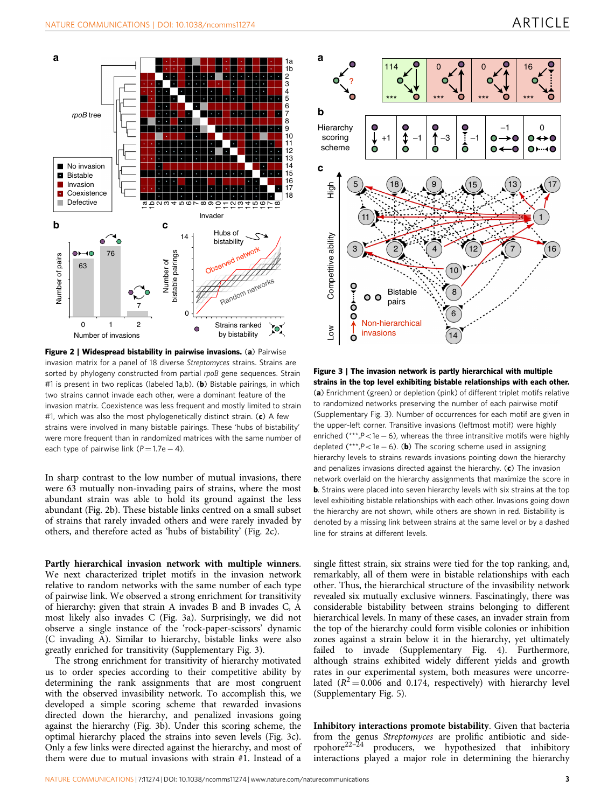<span id="page-2-0"></span>

Figure 2 | Widespread bistability in pairwise invasions. (a) Pairwise invasion matrix for a panel of 18 diverse Streptomyces strains. Strains are sorted by phylogeny constructed from partial rpoB gene sequences. Strain #1 is present in two replicas (labeled 1a,b). (b) Bistable pairings, in which two strains cannot invade each other, were a dominant feature of the invasion matrix. Coexistence was less frequent and mostly limited to strain #1, which was also the most phylogenetically distinct strain. (c) A few strains were involved in many bistable pairings. These 'hubs of bistability' were more frequent than in randomized matrices with the same number of each type of pairwise link ( $P = 1.7e - 4$ ).

In sharp contrast to the low number of mutual invasions, there were 63 mutually non-invading pairs of strains, where the most abundant strain was able to hold its ground against the less abundant (Fig. 2b). These bistable links centred on a small subset of strains that rarely invaded others and were rarely invaded by others, and therefore acted as 'hubs of bistability' (Fig. 2c).

Partly hierarchical invasion network with multiple winners. We next characterized triplet motifs in the invasion network relative to random networks with the same number of each type of pairwise link. We observed a strong enrichment for transitivity of hierarchy: given that strain A invades B and B invades C, A most likely also invades C (Fig. 3a). Surprisingly, we did not observe a single instance of the 'rock-paper-scissors' dynamic (C invading A). Similar to hierarchy, bistable links were also greatly enriched for transitivity (Supplementary Fig. 3).

The strong enrichment for transitivity of hierarchy motivated us to order species according to their competitive ability by determining the rank assignments that are most congruent with the observed invasibility network. To accomplish this, we developed a simple scoring scheme that rewarded invasions directed down the hierarchy, and penalized invasions going against the hierarchy (Fig. 3b). Under this scoring scheme, the optimal hierarchy placed the strains into seven levels (Fig. 3c). Only a few links were directed against the hierarchy, and most of them were due to mutual invasions with strain #1. Instead of a



Figure 3 | The invasion network is partly hierarchical with multiple strains in the top level exhibiting bistable relationships with each other. (a) Enrichment (green) or depletion (pink) of different triplet motifs relative to randomized networks preserving the number of each pairwise motif (Supplementary Fig. 3). Number of occurrences for each motif are given in the upper-left corner. Transitive invasions (leftmost motif) were highly enriched  $(***, P < 1e - 6)$ , whereas the three intransitive motifs were highly depleted  $(***, P < 1e - 6)$ . (**b**) The scoring scheme used in assigning hierarchy levels to strains rewards invasions pointing down the hierarchy and penalizes invasions directed against the hierarchy.  $(c)$  The invasion network overlaid on the hierarchy assignments that maximize the score in **b**. Strains were placed into seven hierarchy levels with six strains at the top level exhibiting bistable relationships with each other. Invasions going down the hierarchy are not shown, while others are shown in red. Bistability is denoted by a missing link between strains at the same level or by a dashed line for strains at different levels.

single fittest strain, six strains were tied for the top ranking, and, remarkably, all of them were in bistable relationships with each other. Thus, the hierarchical structure of the invasibility network revealed six mutually exclusive winners. Fascinatingly, there was considerable bistability between strains belonging to different hierarchical levels. In many of these cases, an invader strain from the top of the hierarchy could form visible colonies or inhibition zones against a strain below it in the hierarchy, yet ultimately failed to invade (Supplementary Fig. 4). Furthermore, although strains exhibited widely different yields and growth rates in our experimental system, both measures were uncorrelated  $(R^2 = 0.006$  and 0.174, respectively) with hierarchy level (Supplementary Fig. 5).

Inhibitory interactions promote bistability. Given that bacteria from the genus Streptomyces are prolific antibiotic and siderpohore $2^{2-24}$  producers, we hypothesized that inhibitory interactions played a major role in determining the hierarchy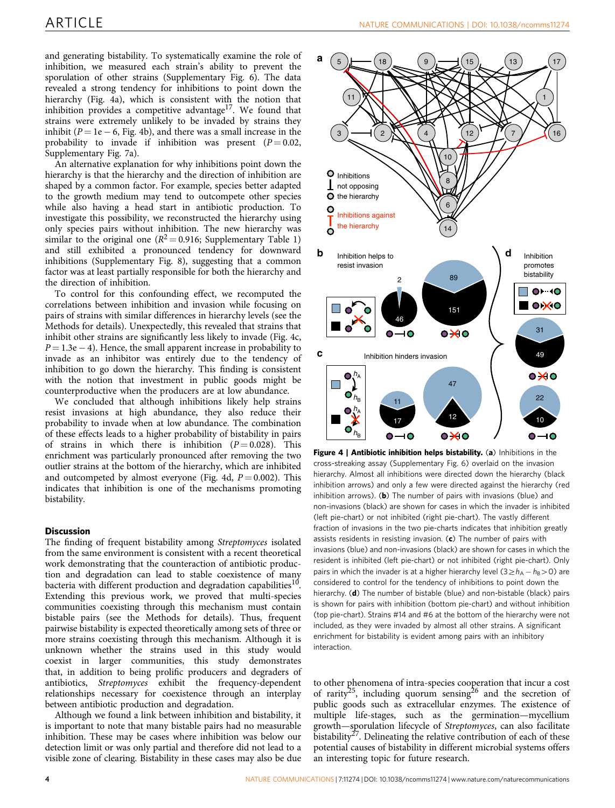ARTICLE ARTICLE

and generating bistability. To systematically examine the role of inhibition, we measured each strain's ability to prevent the sporulation of other strains (Supplementary Fig. 6). The data revealed a strong tendency for inhibitions to point down the hierarchy (Fig. 4a), which is consistent with the notion that inhibition provides a competitive advantage<sup>[17](#page-6-0)</sup>. We found that strains were extremely unlikely to be invaded by strains they inhibit ( $P$   $=$  1e  $-$  6, Fig. 4b), and there was a small increase in the probability to invade if inhibition was present  $(P = 0.02,$ Supplementary Fig. 7a).

An alternative explanation for why inhibitions point down the hierarchy is that the hierarchy and the direction of inhibition are shaped by a common factor. For example, species better adapted to the growth medium may tend to outcompete other species while also having a head start in antibiotic production. To investigate this possibility, we reconstructed the hierarchy using only species pairs without inhibition. The new hierarchy was similar to the original one ( $R^2 = 0.916$ ; Supplementary Table 1) and still exhibited a pronounced tendency for downward inhibitions (Supplementary Fig. 8), suggesting that a common factor was at least partially responsible for both the hierarchy and the direction of inhibition.

To control for this confounding effect, we recomputed the correlations between inhibition and invasion while focusing on pairs of strains with similar differences in hierarchy levels (see the Methods for details). Unexpectedly, this revealed that strains that inhibit other strains are significantly less likely to invade (Fig. 4c,  $P$   $=$  1.3e  $-$  4). Hence, the small apparent increase in probability to invade as an inhibitor was entirely due to the tendency of inhibition to go down the hierarchy. This finding is consistent with the notion that investment in public goods might be counterproductive when the producers are at low abundance.

We concluded that although inhibitions likely help strains resist invasions at high abundance, they also reduce their probability to invade when at low abundance. The combination of these effects leads to a higher probability of bistability in pairs of strains in which there is inhibition  $(P = 0.028)$ . This enrichment was particularly pronounced after removing the two outlier strains at the bottom of the hierarchy, which are inhibited and outcompeted by almost everyone (Fig. 4d,  $P = 0.002$ ). This indicates that inhibition is one of the mechanisms promoting bistability.

### **Discussion**

The finding of frequent bistability among Streptomyces isolated from the same environment is consistent with a recent theoretical work demonstrating that the counteraction of antibiotic production and degradation can lead to stable coexistence of many bacteria with different production and degradation capabilities<sup>10</sup>. Extending this previous work, we proved that multi-species communities coexisting through this mechanism must contain bistable pairs (see the Methods for details). Thus, frequent pairwise bistability is expected theoretically among sets of three or more strains coexisting through this mechanism. Although it is unknown whether the strains used in this study would coexist in larger communities, this study demonstrates that, in addition to being prolific producers and degraders of antibiotics, Streptomyces exhibit the frequency-dependent relationships necessary for coexistence through an interplay between antibiotic production and degradation.

Although we found a link between inhibition and bistability, it is important to note that many bistable pairs had no measurable inhibition. These may be cases where inhibition was below our detection limit or was only partial and therefore did not lead to a visible zone of clearing. Bistability in these cases may also be due



Figure 4 | Antibiotic inhibition helps bistability. (a) Inhibitions in the cross-streaking assay (Supplementary Fig. 6) overlaid on the invasion hierarchy. Almost all inhibitions were directed down the hierarchy (black inhibition arrows) and only a few were directed against the hierarchy (red inhibition arrows). ( $\mathbf{b}$ ) The number of pairs with invasions (blue) and non-invasions (black) are shown for cases in which the invader is inhibited (left pie-chart) or not inhibited (right pie-chart). The vastly different fraction of invasions in the two pie-charts indicates that inhibition greatly assists residents in resisting invasion.  $(c)$  The number of pairs with invasions (blue) and non-invasions (black) are shown for cases in which the resident is inhibited (left pie-chart) or not inhibited (right pie-chart). Only pairs in which the invader is at a higher hierarchy level  $(3 \ge h_A - h_B > 0)$  are considered to control for the tendency of inhibitions to point down the hierarchy. (**d**) The number of bistable (blue) and non-bistable (black) pairs is shown for pairs with inhibition (bottom pie-chart) and without inhibition (top pie-chart). Strains #14 and #6 at the bottom of the hierarchy were not included, as they were invaded by almost all other strains. A significant enrichment for bistability is evident among pairs with an inhibitory interaction.

to other phenomena of intra-species cooperation that incur a cost of rarity<sup>[25](#page-6-0)</sup>, including quorum sensing<sup>26</sup> and the secretion of public goods such as extracellular enzymes. The existence of multiple life-stages, such as the germination—mycellium growth—sporulation lifecycle of Streptomyces, can also facilitate bistability<sup>27</sup>. Delineating the relative contribution of each of these potential causes of bistability in different microbial systems offers an interesting topic for future research.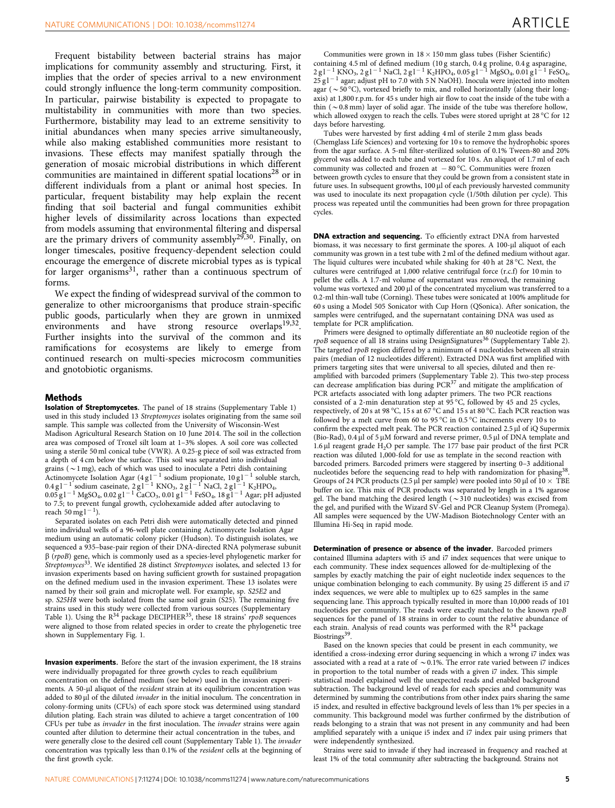Frequent bistability between bacterial strains has major implications for community assembly and structuring. First, it implies that the order of species arrival to a new environment could strongly influence the long-term community composition. In particular, pairwise bistability is expected to propagate to multistability in communities with more than two species. Furthermore, bistability may lead to an extreme sensitivity to initial abundances when many species arrive simultaneously, while also making established communities more resistant to invasions. These effects may manifest spatially through the generation of mosaic microbial distributions in which different communities are maintained in different spatial locations<sup>[28](#page-6-0)</sup> or in different individuals from a plant or animal host species. In particular, frequent bistability may help explain the recent finding that soil bacterial and fungal communities exhibit higher levels of dissimilarity across locations than expected from models assuming that environmental filtering and dispersal are the primary drivers of community assembly<sup>[29,30](#page-6-0)</sup>. Finally, on longer timescales, positive frequency-dependent selection could encourage the emergence of discrete microbial types as is typical for larger organisms $^{31}$ , rather than a continuous spectrum of forms.

We expect the finding of widespread survival of the common to generalize to other microorganisms that produce strain-specific public goods, particularly when they are grown in unmixed environments and have strong resource overlaps<sup>19,32</sup>. Further insights into the survival of the common and its ramifications for ecosystems are likely to emerge from continued research on multi-species microcosm communities and gnotobiotic organisms.

#### Methods

Isolation of Streptomycetes. The panel of 18 strains (Supplementary Table 1) used in this study included 13 Streptomyces isolates originating from the same soil sample. This sample was collected from the University of Wisconsin-West Madison Agricultural Research Station on 10 June 2014. The soil in the collection area was composed of Troxel silt loam at 1–3% slopes. A soil core was collected using a sterile 50 ml conical tube (VWR). A 0.25-g piece of soil was extracted from a depth of 4 cm below the surface. This soil was separated into individual grains (~1 mg), each of which was used to inoculate a Petri dish containing<br>Actinomycete Isolation Agar (4 g1<sup>–1</sup> sodium propionate, 10 g1<sup>–1</sup> soluble starch,  $0.4$  g l  $^{-1}$  sodium caseinate, 2 g l  $^{-1}$  KNO<sub>3</sub>, 2 g l  $^{-1}$  NaCl, 2 g l  $^{-1}$  K<sub>2</sub>HPO<sub>4</sub>,<br> $0.05$  g l  $^{-1}$  MgSO<sub>4</sub>, 0.02 g l  $^{-1}$  CaCO<sub>3</sub>, 0.01 g l  $^{-1}$  FeSO<sub>4</sub>, 18 g l  $^{-1}$  Agar; pH adjusted to 7.5; to prevent fungal growth, cyclohexamide added after autoclaving to reach  $50 \text{ mg} 1^{-1}$ ).

Separated isolates on each Petri dish were automatically detected and pinned into individual wells of a 96-well plate containing Actinomycete Isolation Agar medium using an automatic colony picker (Hudson). To distinguish isolates, we sequenced a 935–base-pair region of their DNA-directed RNA polymerase subunit β (rpoB) gene, which is commonly used as a species-level phylogenetic marker for<br>Streptomyces<sup>[33](#page-6-0)</sup>. We identified 28 distinct Streptomyces isolates, and selected 13 for invasion experiments based on having sufficient growth for sustained propagation on the defined medium used in the invasion experiment. These 13 isolates were named by their soil grain and microplate well. For example, sp. S25E2 and sp. S25H8 were both isolated from the same soil grain (S25). The remaining five strains used in this study were collected from various sources (Supplementary<br>Table 1). Using the R<sup>[34](#page-6-0)</sup> package DECIPHER<sup>[35](#page-6-0)</sup>, these 18 strains' *rpoB* sequences were aligned to those from related species in order to create the phylogenetic tree shown in Supplementary Fig. 1.

Invasion experiments. Before the start of the invasion experiment, the 18 strains were individually propagated for three growth cycles to reach equilibrium concentration on the defined medium (see below) used in the invasion experiments. A 50-µl aliquot of the *resident* strain at its equilibrium concentration was added to 80 µl of the diluted *invader* in the initial inoculum. The concentration in colony-forming units (CFUs) of each spore stock was determined using standard dilution plating. Each strain was diluted to achieve a target concentration of 100 CFUs per tube as invader in the first inoculation. The invader strains were again counted after dilution to determine their actual concentration in the tubes, and were generally close to the desired cell count (Supplementary Table 1). The invader concentration was typically less than 0.1% of the resident cells at the beginning of the first growth cycle.

Communities were grown in  $18 \times 150$  mm glass tubes (Fisher Scientific) containing 4.5 ml of defined medium (10 g starch, 0.4 g proline, 0.4 g asparagine,  $2 \text{ g l}^{-1} \text{ KNO}_3$ ,  $2 \text{ g l}^{-1} \text{ NaCl}$ ,  $2 \text{ g l}^{-1} \text{ K}_2 \text{HPO}_4$ , 0.05 g l<sup>-1</sup> MgSO<sub>4</sub>, 0.01 g l<sup>-1</sup> FeSO<sub>4</sub>.  $25 \text{ g1}^{-1}$  agar; adjust pH to 7.0 with 5 N NaOH). Inocula were injected into molten agar ( $\sim$  50 °C), vortexed briefly to mix, and rolled horizontally (along their longaxis) at 1,800 r.p.m. for 45 s under high air flow to coat the inside of the tube with a thin  $(\sim 0.8 \text{ mm})$  layer of solid agar. The inside of the tube was therefore hollow, which allowed oxygen to reach the cells. Tubes were stored upright at 28  $^{\circ}$ C for 12 days before harvesting.

Tubes were harvested by first adding 4 ml of sterile 2 mm glass beads (Chemglass Life Sciences) and vortexing for 10 s to remove the hydrophobic spores from the agar surface. A 5-ml filter-sterilized solution of 0.1% Tween-80 and 20% glycerol was added to each tube and vortexed for 10 s. An aliquot of 1.7 ml of each community was collected and frozen at  $-80^{\circ}$ C. Communities were frozen between growth cycles to ensure that they could be grown from a consistent state in future uses. In subsequent growths,  $100 \mu$  of each previously harvested community was used to inoculate its next propagation cycle (1/50th dilution per cycle). This process was repeated until the communities had been grown for three propagation cycles.

DNA extraction and sequencing. To efficiently extract DNA from harvested biomass, it was necessary to first germinate the spores. A 100-µl aliquot of each community was grown in a test tube with 2 ml of the defined medium without agar. The liquid cultures were incubated while shaking for 40 h at 28  $^{\circ}$ C. Next, the cultures were centrifuged at 1,000 relative centrifugal force (r.c.f) for 10 min to pellet the cells. A 1.7-ml volume of supernatant was removed, the remaining volume was vortexed and 200 µl of the concentrated mycelium was transferred to a 0.2-ml thin-wall tube (Corning). These tubes were sonicated at 100% amplitude for 60 s using a Model 505 Sonicator with Cup Horn (QSonica). After sonication, the samples were centrifuged, and the supernatant containing DNA was used as template for PCR amplification.

Primers were designed to optimally differentiate an 80 nucleotide region of the  $rpoB$  sequence of all 18 strains using DesignSignatures<sup>[36](#page-6-0)</sup> (Supplementary Table 2). The targeted rpoB region differed by a minimum of 4 nucleotides between all strain pairs (median of 12 nucleotides different). Extracted DNA was first amplified with primers targeting sites that were universal to all species, diluted and then reamplified with barcoded primers (Supplementary Table 2). This two-step process can decrease amplification bias during  $PCR^{37}$  $PCR^{37}$  $PCR^{37}$  and mitigate the amplification of PCR artefacts associated with long adapter primers. The two PCR reactions consisted of a 2-min denaturation step at  $95^{\circ}$ C, followed by 45 and 25 cycles, respectively, of 20 s at 98 °C, 15 s at 67 °C and 15 s at 80 °C. Each PCR reaction was followed by a melt curve from 60 to 95 °C in 0.5 °C increments every 10 s to confirm the expected melt peak. The PCR reaction contained 2.5 µl of iQ Supermix (Bio-Rad), 0.4  $\mu$ l of 5  $\mu$ M forward and reverse primer, 0.5  $\mu$ l of DNA template and 1.6  $\mu$ l reagent grade H<sub>2</sub>O per sample. The 177 base pair product of the first PCR reaction was diluted 1,000-fold for use as template in the second reaction with barcoded primers. Barcoded primers were staggered by inserting 0–3 additional nucleotides before the sequencing read to help with randomization for phasing[38](#page-6-0). Groups of 24 PCR products (2.5  $\upmu$ l per sample) were pooled into 50  $\upmu$ l of 10  $\times$  TBE buffer on ice. This mix of PCR products was separated by length in a 1% agarose gel. The band matching the desired length  $(\sim 310$  nucleotides) was excised from the gel, and purified with the Wizard SV-Gel and PCR Cleanup System (Promega). All samples were sequenced by the UW-Madison Biotechnology Center with an Illumina Hi-Seq in rapid mode.

Determination of presence or absence of the invader. Barcoded primers contained Illumina adapters with i5 and i7 index sequences that were unique to each community. These index sequences allowed for de-multiplexing of the samples by exactly matching the pair of eight nucleotide index sequences to the unique combination belonging to each community. By using 25 different i5 and i7 index sequences, we were able to multiplex up to 625 samples in the same sequencing lane. This approach typically resulted in more than 10,000 reads of 101 nucleotides per community. The reads were exactly matched to the known rpoB sequences for the panel of 18 strains in order to count the relative abundance of each strain. Analysis of read counts was performed with the  $R^{34}$  $R^{34}$  $R^{34}$  package Biostrings<sup>[39](#page-6-0)</sup>

Based on the known species that could be present in each community, we identified a cross-indexing error during sequencing in which a wrong i7 index was associated with a read at a rate of  $\sim 0.1\%$ . The error rate varied between i7 indices in proportion to the total number of reads with a given i7 index. This simple statistical model explained well the unexpected reads and enabled background subtraction. The background level of reads for each species and community was determined by summing the contributions from other index pairs sharing the same i5 index, and resulted in effective background levels of less than 1% per species in a community. This background model was further confirmed by the distribution of reads belonging to a strain that was not present in any community and had been amplified separately with a unique i5 index and i7 index pair using primers that were independently synthesized.

Strains were said to invade if they had increased in frequency and reached at least 1% of the total community after subtracting the background. Strains not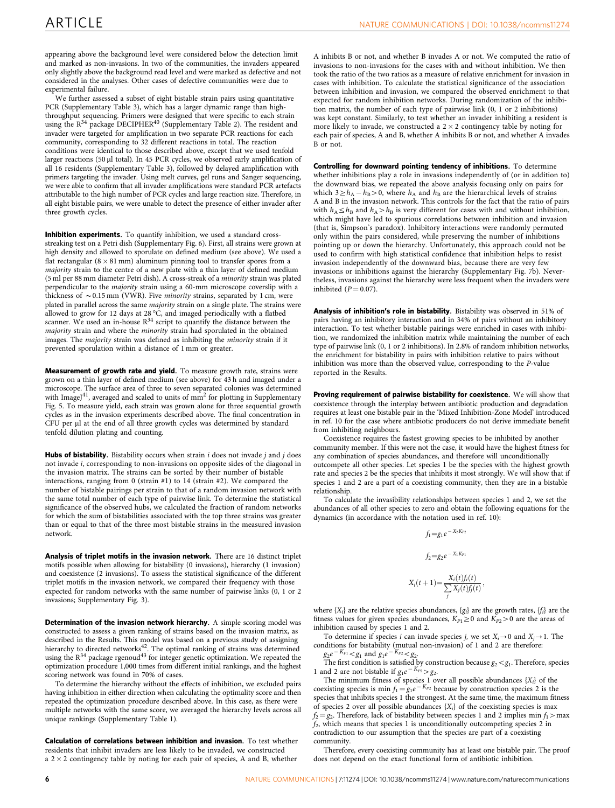appearing above the background level were considered below the detection limit and marked as non-invasions. In two of the communities, the invaders appeared only slightly above the background read level and were marked as defective and not considered in the analyses. Other cases of defective communities were due to experimental failure.

We further assessed a subset of eight bistable strain pairs using quantitative PCR (Supplementary Table 3), which has a larger dynamic range than highthroughput sequencing. Primers were designed that were specific to each strain using the R<sup>[34](#page-6-0)</sup> package DECIPHER<sup>[40](#page-6-0)</sup> (Supplementary Table 2). The resident and invader were targeted for amplification in two separate PCR reactions for each community, corresponding to 32 different reactions in total. The reaction conditions were identical to those described above, except that we used tenfold larger reactions (50  $\mu$ l total). In 45 PCR cycles, we observed early amplification of all 16 residents (Supplementary Table 3), followed by delayed amplification with primers targeting the invader. Using melt curves, gel runs and Sanger sequencing, we were able to confirm that all invader amplifications were standard PCR artefacts attributable to the high number of PCR cycles and large reaction size. Therefore, in all eight bistable pairs, we were unable to detect the presence of either invader after three growth cycles.

Inhibition experiments. To quantify inhibition, we used a standard crossstreaking test on a Petri dish (Supplementary Fig. 6). First, all strains were grown at high density and allowed to sporulate on defined medium (see above). We used a flat rectangular  $(8 \times 81$  mm) aluminum pinning tool to transfer spores from a majority strain to the centre of a new plate with a thin layer of defined medium (5 ml per 88 mm diameter Petri dish). A cross-streak of a minority strain was plated perpendicular to the majority strain using a 60-mm microscope coverslip with a thickness of  $\sim$  0.15 mm (VWR). Five *minority* strains, separated by 1 cm, were plated in parallel across the same majority strain on a single plate. The strains were allowed to grow for 12 days at 28  $^{\circ}$ C, and imaged periodically with a flatbed scanner. We used an in-house  $R^{34}$  $R^{34}$  $R^{34}$  script to quantify the distance between the majority strain and where the minority strain had sporulated in the obtained images. The majority strain was defined as inhibiting the minority strain if it prevented sporulation within a distance of 1 mm or greater.

Measurement of growth rate and yield. To measure growth rate, strains were grown on a thin layer of defined medium (see above) for 43 h and imaged under a microscope. The surface area of three to seven separated colonies was determined with ImageJ<sup>41</sup>, averaged and scaled to units of  $mn^2$  for plotting in Supplementary Fig. 5. To measure yield, each strain was grown alone for three sequential growth cycles as in the invasion experiments described above. The final concentration in CFU per µl at the end of all three growth cycles was determined by standard tenfold dilution plating and counting.

Hubs of bistability. Bistability occurs when strain  $i$  does not invade  $j$  and  $j$  does not invade i, corresponding to non-invasions on opposite sides of the diagonal in the invasion matrix. The strains can be sorted by their number of bistable interactions, ranging from 0 (strain #1) to 14 (strain #2). We compared the number of bistable pairings per strain to that of a random invasion network with the same total number of each type of pairwise link. To determine the statistical significance of the observed hubs, we calculated the fraction of random networks for which the sum of bistabilities associated with the top three strains was greater than or equal to that of the three most bistable strains in the measured invasion network.

Analysis of triplet motifs in the invasion network. There are 16 distinct triplet motifs possible when allowing for bistability (0 invasions), hierarchy (1 invasion) and coexistence (2 invasions). To assess the statistical significance of the different triplet motifs in the invasion network, we compared their frequency with those expected for random networks with the same number of pairwise links (0, 1 or 2 invasions; Supplementary Fig. 3).

Determination of the invasion network hierarchy. A simple scoring model was constructed to assess a given ranking of strains based on the invasion matrix, as described in the Results. This model was based on a previous study of assigning hierarchy to directed networks<sup>[42](#page-6-0)</sup>. The optimal ranking of strains was determined using the R<sup>[34](#page-6-0)</sup> package rgenoud<sup>[43](#page-6-0)</sup> for integer genetic optimization. We repeated the optimization procedure 1,000 times from different initial rankings, and the highest scoring network was found in 70% of cases.

To determine the hierarchy without the effects of inhibition, we excluded pairs having inhibition in either direction when calculating the optimality score and then repeated the optimization procedure described above. In this case, as there were multiple networks with the same score, we averaged the hierarchy levels across all unique rankings (Supplementary Table 1).

Calculation of correlations between inhibition and invasion. To test whether residents that inhibit invaders are less likely to be invaded, we constructed a  $2 \times 2$  contingency table by noting for each pair of species, A and B, whether

A inhibits B or not, and whether B invades A or not. We computed the ratio of invasions to non-invasions for the cases with and without inhibition. We then took the ratio of the two ratios as a measure of relative enrichment for invasion in cases with inhibition. To calculate the statistical significance of the association between inhibition and invasion, we compared the observed enrichment to that expected for random inhibition networks. During randomization of the inhibition matrix, the number of each type of pairwise link (0, 1 or 2 inhibitions) was kept constant. Similarly, to test whether an invader inhibiting a resident is more likely to invade, we constructed a  $2 \times 2$  contingency table by noting for each pair of species, A and B, whether A inhibits B or not, and whether A invades B or not.

Controlling for downward pointing tendency of inhibitions. To determine whether inhibitions play a role in invasions independently of (or in addition to) the downward bias, we repeated the above analysis focusing only on pairs for which  $3 \ge h_A - h_B > 0$ , where  $h_A$  and  $h_B$  are the hierarchical levels of strains A and B in the invasion network. This controls for the fact that the ratio of pairs with  $h_A \leq h_B$  and  $h_A > h_B$  is very different for cases with and without inhibition, which might have led to spurious correlations between inhibition and invasion (that is, Simpson's paradox). Inhibitory interactions were randomly permuted only within the pairs considered, while preserving the number of inhibitions pointing up or down the hierarchy. Unfortunately, this approach could not be used to confirm with high statistical confidence that inhibition helps to resist invasion independently of the downward bias, because there are very few invasions or inhibitions against the hierarchy (Supplementary Fig. 7b). Nevertheless, invasions against the hierarchy were less frequent when the invaders were inhibited  $(P = 0.07)$ .

Analysis of inhibition's role in bistability. Bistability was observed in 51% of pairs having an inhibitory interaction and in 34% of pairs without an inhibitory interaction. To test whether bistable pairings were enriched in cases with inhibition, we randomized the inhibition matrix while maintaining the number of each type of pairwise link (0, 1 or 2 inhibitions). In 2.8% of random inhibition networks, the enrichment for bistability in pairs with inhibition relative to pairs without inhibition was more than the observed value, corresponding to the P-value reported in the Results.

Proving requirement of pairwise bistability for coexistence. We will show that coexistence through the interplay between antibiotic production and degradation requires at least one bistable pair in the 'Mixed Inhibition-Zone Model' introduced in [ref. 10](#page-6-0) for the case where antibiotic producers do not derive immediate benefit from inhibiting neighbours.

Coexistence requires the fastest growing species to be inhibited by another community member. If this were not the case, it would have the highest fitness for any combination of species abundances, and therefore will unconditionally outcompete all other species. Let species 1 be the species with the highest growth rate and species 2 be the species that inhibits it most strongly. We will show that if species 1 and 2 are a part of a coexisting community, then they are in a bistable relationship.

To calculate the invasibility relationships between species 1 and 2, we set the abundances of all other species to zero and obtain the following equations for the dynamics (in accordance with the notation used in [ref. 10\)](#page-6-0):

$$
f_1 = g_1 e^{-X_2 K_{p_2}}
$$

$$
f_2 = g_2 e^{-X_1 K_{p_1}}
$$

$$
X_i(t+1) = \frac{X_i(t) f_i(t)}{\sum X_j(t) f_j(t)}
$$

j

where  $\{X_i\}$  are the relative species abundances,  $\{g_i\}$  are the growth rates,  $\{f_i\}$  are the fitness values for given species abundances,  $K_{P1} \ge 0$  and  $K_{P2} > 0$  are the areas of inhibition caused by species 1 and 2.

To determine if species *i* can invade species *j*, we set  $X_i \rightarrow 0$  and  $X_j \rightarrow 1$ . The conditions for bistability (mutual non-invasion) of 1 and 2 are therefore:  $g_2e^{-K_{p_1}} < g_1$  and  $g_1e^{-K_{p_2}} < g_2$ .

The first condition is satisfied by construction because  $g_2 < g_1$ . Therefore, species 1 and 2 are not bistable if  $g_1e^{-Kp_2} > g_2$ .

The minimum fitness of species 1 over all possible abundances  $\{X_i\}$  of the coexisting species is min  $f_1 = g_1 e^{-K_{P2}}$  because by construction species 2 is the species that inhibits species 1 the strongest. At the same time, the maximum fitness of species 2 over all possible abundances  $\{X_i\}$  of the coexisting species is max  $f_2 = g_2$ . Therefore, lack of bistability between species 1 and 2 implies min  $f_1 > max$  $f_2$ , which means that species 1 is unconditionally outcompeting species 2 in contradiction to our assumption that the species are part of a coexisting community.

Therefore, every coexisting community has at least one bistable pair. The proof does not depend on the exact functional form of antibiotic inhibition.